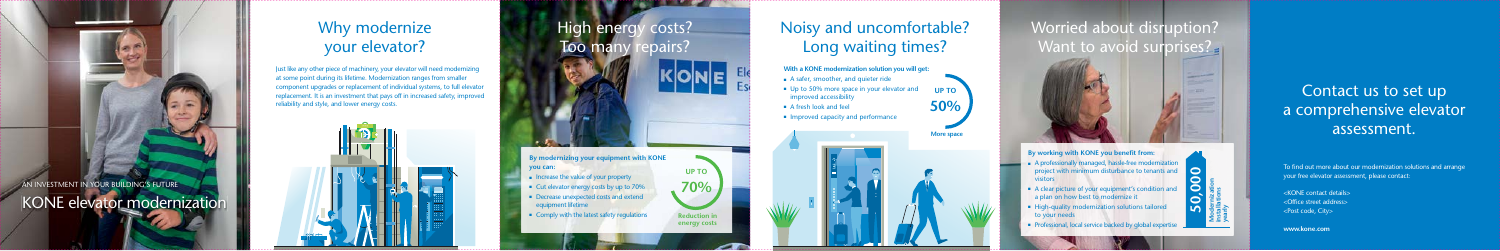# Noisy and uncomfortable? Long waiting times?

**With a KONE modernization solution you will get:** 

- A safer, smoother, and quieter ride
- Up to 50% more space in your elevator and improved accessibility
- A fresh look and feel
- Improved capacity and performance

# Why modernize your elevator?

#### AN INVESTMENT IN YOUR BUILDING'S FUTURE KONE elevator modernization



- 
- 
- 
- 

#### **Modernization installations yearly 50,000**

# Worried about disruption? Want to avoid surprises?

To find out more about our modernization solutions and arrange your free elevator assessment, please contact:

## Contact us to set up a comprehensive elevator More space and a set of the space and a set of the space and a set of the space and a set of the space and a set of the space and a set of the space and a set of the space and a set of the space and a set of the space and

Just like any other piece of machinery, your elevator will need modernizing at some point during its lifetime. Modernization ranges from smaller component upgrades or replacement of individual systems, to full elevator replacement. It is an investment that pays off in increased safety, improved reliability and style, and lower energy costs.



<KONE contact details> <Office street address> <Post code, City>

**www.kone.com**



**By working with KONE you benefit from:** 

- A professionally managed, hassle-free modernization project with minimum disturbance to tenants and **visitors**
- A clear picture of your equipment's condition and a plan on how best to modernize it
- High-quality modernization solutions tailored to your needs
- Professional, local service backed by global expertise